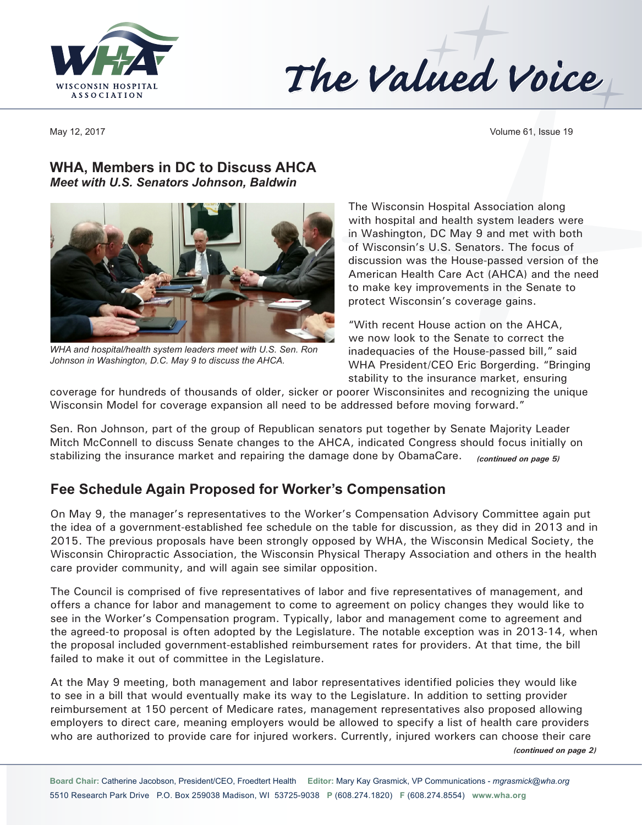



May 12, 2017 Volume 61, Issue 19

## **WHA, Members in DC to Discuss AHCA**  *Meet with U.S. Senators Johnson, Baldwin*



*WHA and hospital/health system leaders meet with U.S. Sen. Ron Johnson in Washington, D.C. May 9 to discuss the AHCA.*

The Wisconsin Hospital Association along with hospital and health system leaders were in Washington, DC May 9 and met with both of Wisconsin's U.S. Senators. The focus of discussion was the House-passed version of the American Health Care Act (AHCA) and the need to make key improvements in the Senate to protect Wisconsin's coverage gains.

"With recent House action on the AHCA, we now look to the Senate to correct the inadequacies of the House-passed bill," said WHA President/CEO Eric Borgerding. "Bringing stability to the insurance market, ensuring

coverage for hundreds of thousands of older, sicker or poorer Wisconsinites and recognizing the unique Wisconsin Model for coverage expansion all need to be addressed before moving forward."

Sen. Ron Johnson, part of the group of Republican senators put together by Senate Majority Leader Mitch McConnell to discuss Senate changes to the AHCA, indicated Congress should focus initially on stabilizing the insurance market and repairing the damage done by ObamaCare. *(continued on page 5)*

# **Fee Schedule Again Proposed for Worker's Compensation**

On May 9, the manager's representatives to the Worker's Compensation Advisory Committee again put the idea of a government-established fee schedule on the table for discussion, as they did in 2013 and in 2015. The previous proposals have been strongly opposed by WHA, the Wisconsin Medical Society, the Wisconsin Chiropractic Association, the Wisconsin Physical Therapy Association and others in the health care provider community, and will again see similar opposition.

The Council is comprised of five representatives of labor and five representatives of management, and offers a chance for labor and management to come to agreement on policy changes they would like to see in the Worker's Compensation program. Typically, labor and management come to agreement and the agreed-to proposal is often adopted by the Legislature. The notable exception was in 2013-14, when the proposal included government-established reimbursement rates for providers. At that time, the bill failed to make it out of committee in the Legislature.

At the May 9 meeting, both management and labor representatives identified policies they would like to see in a bill that would eventually make its way to the Legislature. In addition to setting provider reimbursement at 150 percent of Medicare rates, management representatives also proposed allowing employers to direct care, meaning employers would be allowed to specify a list of health care providers who are authorized to provide care for injured workers. Currently, injured workers can choose their care *(continued on page 2)*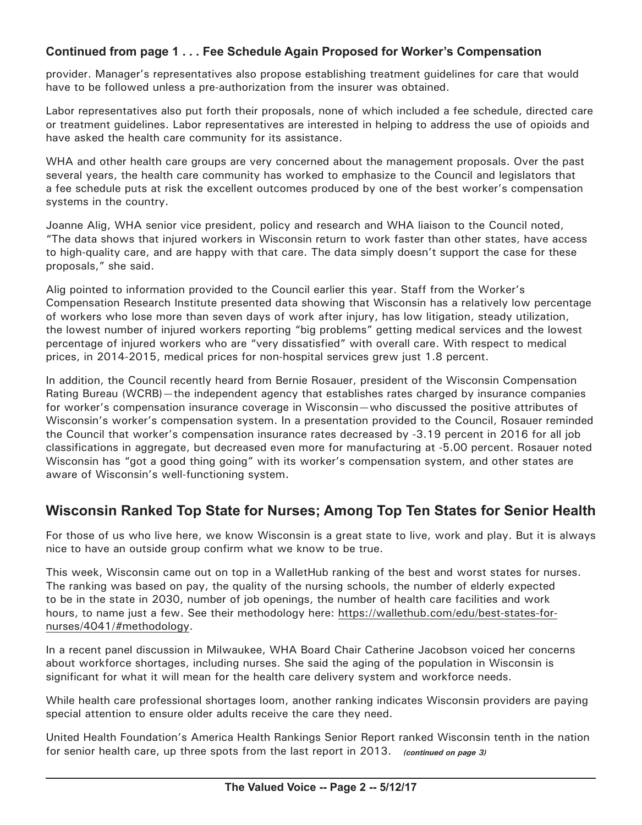### **Continued from page 1 . . . Fee Schedule Again Proposed for Worker's Compensation**

provider. Manager's representatives also propose establishing treatment guidelines for care that would have to be followed unless a pre-authorization from the insurer was obtained.

Labor representatives also put forth their proposals, none of which included a fee schedule, directed care or treatment guidelines. Labor representatives are interested in helping to address the use of opioids and have asked the health care community for its assistance.

WHA and other health care groups are very concerned about the management proposals. Over the past several years, the health care community has worked to emphasize to the Council and legislators that a fee schedule puts at risk the excellent outcomes produced by one of the best worker's compensation systems in the country.

Joanne Alig, WHA senior vice president, policy and research and WHA liaison to the Council noted, "The data shows that injured workers in Wisconsin return to work faster than other states, have access to high-quality care, and are happy with that care. The data simply doesn't support the case for these proposals," she said.

Alig pointed to information provided to the Council earlier this year. Staff from the Worker's Compensation Research Institute presented data showing that Wisconsin has a relatively low percentage of workers who lose more than seven days of work after injury, has low litigation, steady utilization, the lowest number of injured workers reporting "big problems" getting medical services and the lowest percentage of injured workers who are "very dissatisfied" with overall care. With respect to medical prices, in 2014-2015, medical prices for non-hospital services grew just 1.8 percent.

In addition, the Council recently heard from Bernie Rosauer, president of the Wisconsin Compensation Rating Bureau (WCRB)—the independent agency that establishes rates charged by insurance companies for worker's compensation insurance coverage in Wisconsin—who discussed the positive attributes of Wisconsin's worker's compensation system. In a presentation provided to the Council, Rosauer reminded the Council that worker's compensation insurance rates decreased by -3.19 percent in 2016 for all job classifications in aggregate, but decreased even more for manufacturing at -5.00 percent. Rosauer noted Wisconsin has "got a good thing going" with its worker's compensation system, and other states are aware of Wisconsin's well-functioning system.

# **Wisconsin Ranked Top State for Nurses; Among Top Ten States for Senior Health**

For those of us who live here, we know Wisconsin is a great state to live, work and play. But it is always nice to have an outside group confirm what we know to be true.

This week, Wisconsin came out on top in a WalletHub ranking of the best and worst states for nurses. The ranking was based on pay, the quality of the nursing schools, the number of elderly expected to be in the state in 2030, number of job openings, the number of health care facilities and work hours, to name just a few. See their methodology here: [https://wallethub.com/edu/best-states-for](https://wallethub.com/edu/best-states-for-nurses/4041/#methodology)[nurses/4041/](https://wallethub.com/edu/best-states-for-nurses/4041/#methodology)#methodology.

In a recent panel discussion in Milwaukee, WHA Board Chair Catherine Jacobson voiced her concerns about workforce shortages, including nurses. She said the aging of the population in Wisconsin is significant for what it will mean for the health care delivery system and workforce needs.

While health care professional shortages loom, another ranking indicates Wisconsin providers are paying special attention to ensure older adults receive the care they need.

United Health Foundation's America Health Rankings Senior Report ranked Wisconsin tenth in the nation for senior health care, up three spots from the last report in 2013. *(continued on page 3)*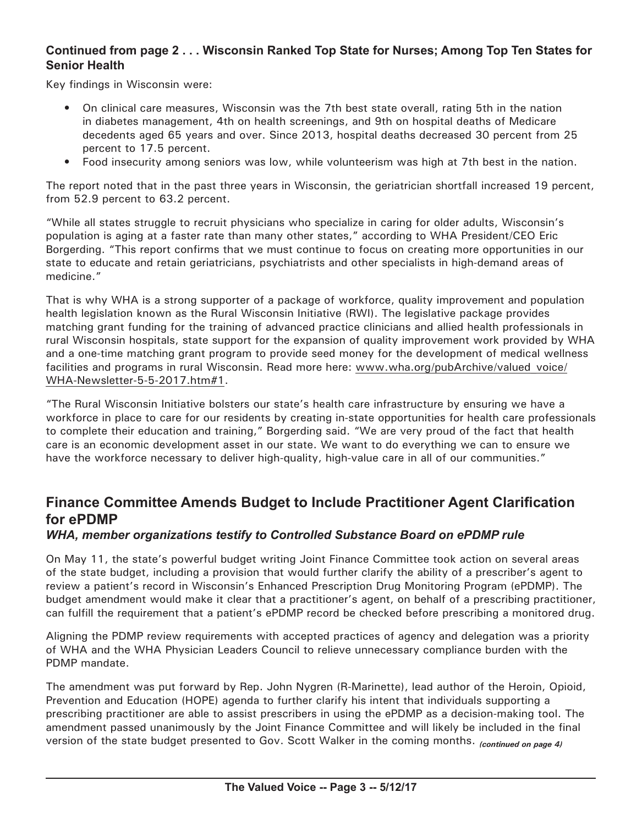### **Continued from page 2 . . . Wisconsin Ranked Top State for Nurses; Among Top Ten States for Senior Health**

Key findings in Wisconsin were:

- On clinical care measures, Wisconsin was the 7th best state overall, rating 5th in the nation in diabetes management, 4th on health screenings, and 9th on hospital deaths of Medicare decedents aged 65 years and over. Since 2013, hospital deaths decreased 30 percent from 25 percent to 17.5 percent.
- Food insecurity among seniors was low, while volunteerism was high at 7th best in the nation.

The report noted that in the past three years in Wisconsin, the geriatrician shortfall increased 19 percent, from 52.9 percent to 63.2 percent.

"While all states struggle to recruit physicians who specialize in caring for older adults, Wisconsin's population is aging at a faster rate than many other states," according to WHA President/CEO Eric Borgerding. "This report confirms that we must continue to focus on creating more opportunities in our state to educate and retain geriatricians, psychiatrists and other specialists in high-demand areas of medicine."

That is why WHA is a strong supporter of a package of workforce, quality improvement and population health legislation known as the Rural Wisconsin Initiative (RWI). The legislative package provides matching grant funding for the training of advanced practice clinicians and allied health professionals in rural Wisconsin hospitals, state support for the expansion of quality improvement work provided by WHA and a one-time matching grant program to provide seed money for the development of medical wellness facilities and programs in rural Wisconsin. Read more here: www.wha.org/pubArchive/valued voice/ [WHA-Newsletter-5-5-2017.htm#](www.wha.org/pubArchive/valued_voice/WHA-Newsletter-5-5-2017.htm#1)1.

"The Rural Wisconsin Initiative bolsters our state's health care infrastructure by ensuring we have a workforce in place to care for our residents by creating in-state opportunities for health care professionals to complete their education and training," Borgerding said. "We are very proud of the fact that health care is an economic development asset in our state. We want to do everything we can to ensure we have the workforce necessary to deliver high-quality, high-value care in all of our communities."

# **Finance Committee Amends Budget to Include Practitioner Agent Clarification for ePDMP**

#### *WHA, member organizations testify to Controlled Substance Board on ePDMP rule*

On May 11, the state's powerful budget writing Joint Finance Committee took action on several areas of the state budget, including a provision that would further clarify the ability of a prescriber's agent to review a patient's record in Wisconsin's Enhanced Prescription Drug Monitoring Program (ePDMP). The budget amendment would make it clear that a practitioner's agent, on behalf of a prescribing practitioner, can fulfill the requirement that a patient's ePDMP record be checked before prescribing a monitored drug.

Aligning the PDMP review requirements with accepted practices of agency and delegation was a priority of WHA and the WHA Physician Leaders Council to relieve unnecessary compliance burden with the PDMP mandate.

The amendment was put forward by Rep. John Nygren (R-Marinette), lead author of the Heroin, Opioid, Prevention and Education (HOPE) agenda to further clarify his intent that individuals supporting a prescribing practitioner are able to assist prescribers in using the ePDMP as a decision-making tool. The amendment passed unanimously by the Joint Finance Committee and will likely be included in the final version of the state budget presented to Gov. Scott Walker in the coming months. *(continued on page 4)*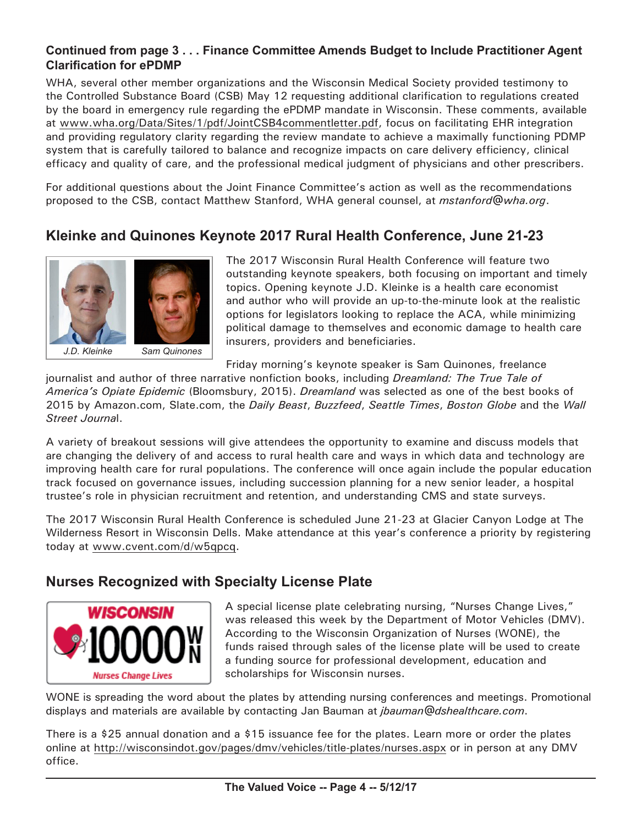### **Continued from page 3 . . . Finance Committee Amends Budget to Include Practitioner Agent Clarification for ePDMP**

WHA, several other member organizations and the Wisconsin Medical Society provided testimony to the Controlled Substance Board (CSB) May 12 requesting additional clarification to regulations created by the board in emergency rule regarding the ePDMP mandate in Wisconsin. These comments, available at [www.wha.org/Data/Sites/1/pdf/JointCSB4commentletter.pdf](http://www.wha.org/Data/Sites/1/pdf/JointCSB4commentletter.pdf), focus on facilitating EHR integration and providing regulatory clarity regarding the review mandate to achieve a maximally functioning PDMP system that is carefully tailored to balance and recognize impacts on care delivery efficiency, clinical efficacy and quality of care, and the professional medical judgment of physicians and other prescribers.

For additional questions about the Joint Finance Committee's action as well as the recommendations proposed to the CSB, contact Matthew Stanford, WHA general counsel, at *[mstanford@wha.org](mailto:mstanford@wha.org)*.

# **Kleinke and Quinones Keynote 2017 Rural Health Conference, June 21-23**



The 2017 Wisconsin Rural Health Conference will feature two outstanding keynote speakers, both focusing on important and timely topics. Opening keynote J.D. Kleinke is a health care economist and author who will provide an up-to-the-minute look at the realistic options for legislators looking to replace the ACA, while minimizing political damage to themselves and economic damage to health care insurers, providers and beneficiaries.

Friday morning's keynote speaker is Sam Quinones, freelance

journalist and author of three narrative nonfiction books, including *Dreamland: The True Tale of America's Opiate Epidemic* (Bloomsbury, 2015). *Dreamland* was selected as one of the best books of 2015 by [Amazon.com](http://www.Amazon.com), [Slate.com](http://www.Slate.com), the *Daily Beast*, *Buzzfeed*, *Seattle Times*, *Boston Globe* and the *Wall Street Journa*l.

A variety of breakout sessions will give attendees the opportunity to examine and discuss models that are changing the delivery of and access to rural health care and ways in which data and technology are improving health care for rural populations. The conference will once again include the popular education track focused on governance issues, including succession planning for a new senior leader, a hospital trustee's role in physician recruitment and retention, and understanding CMS and state surveys.

The 2017 Wisconsin Rural Health Conference is scheduled June 21-23 at Glacier Canyon Lodge at The Wilderness Resort in Wisconsin Dells. Make attendance at this year's conference a priority by registering today at [www.cvent.com/](www.cvent.com/d/w5qpcq)d/w5qpcq.

## **Nurses Recognized with Specialty License Plate**



A special license plate celebrating nursing, "Nurses Change Lives," was released this week by the Department of Motor Vehicles (DMV). According to the Wisconsin Organization of Nurses (WONE), the funds raised through sales of the license plate will be used to create a funding source for professional development, education and scholarships for Wisconsin nurses.

WONE is spreading the word about the plates by attending nursing conferences and meetings. Promotional displays and materials are available by contacting Jan Bauman at *[jbauman@dshealthcare.com](mailto:jbauman@dshealthcare.com)*.

There is a \$25 annual donation and a \$15 issuance fee for the plates. Learn more or order the plates online at<http://wisconsindot.gov/pages/dmv/vehicles/title-plates/nurses.aspx>or in person at any DMV office.